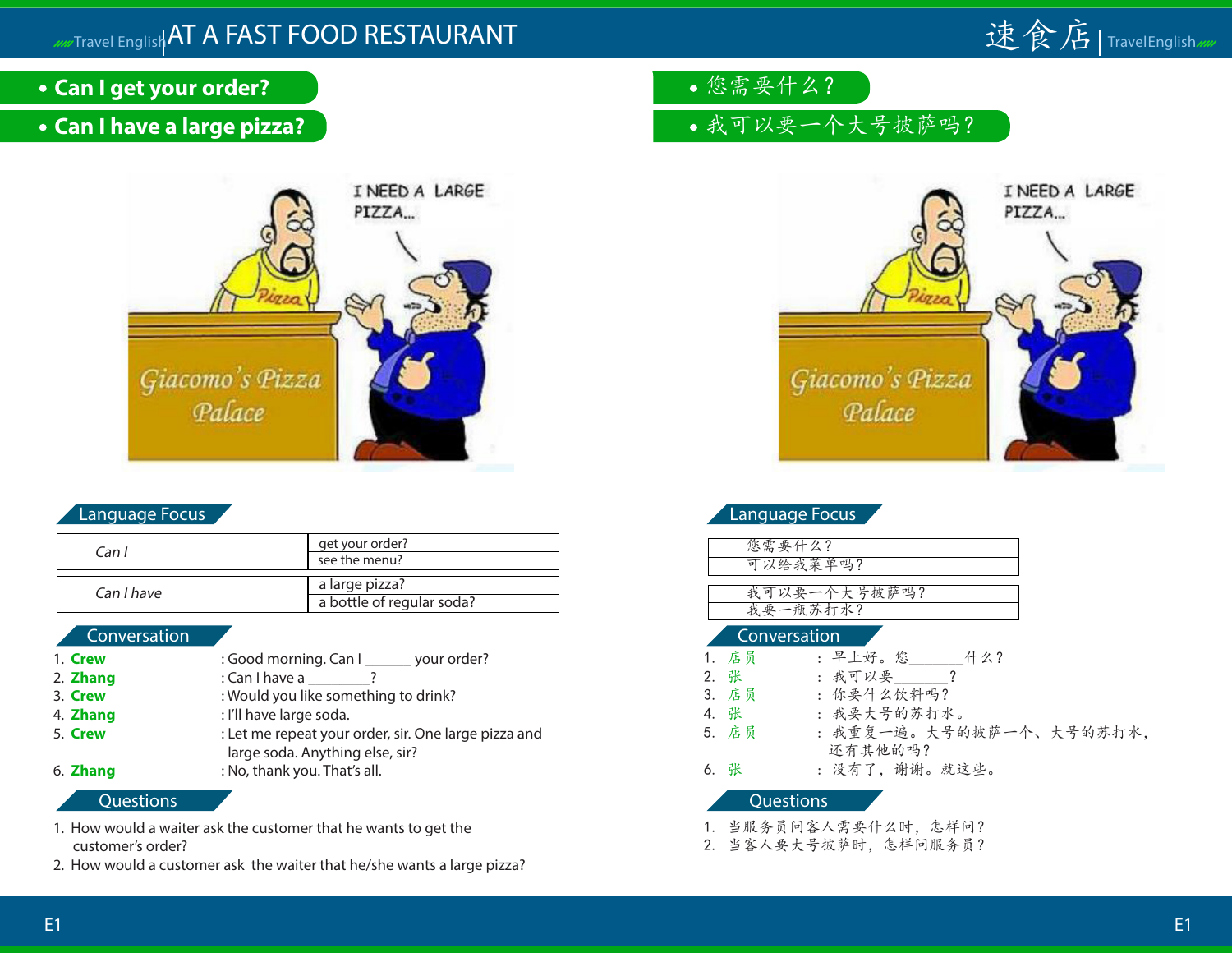

- **Can I get your order?**
- **Can I have a large pizza?**



| Can I      | get your order?<br>see the menu?            |
|------------|---------------------------------------------|
| Can I have | a large pizza?<br>a bottle of regular soda? |

#### Conversation

| 1. Crew  | : Good morning. Can I _______ your order?            |
|----------|------------------------------------------------------|
| 2. Zhang | : Can I have a __                                    |
| 3. Crew  | : Would you like something to drink?                 |
| 4. Zhang | : I'll have large soda.                              |
| 5. Crew  | : Let me repeat your order, sir. One large pizza and |
|          | large soda. Anything else, sir?                      |
| 6. Zhang | : No, thank you. That's all.                         |

#### **Questions**

- 1. How would a waiter ask the customer that he wants to get the customer's order?
- 2. How would a customer ask the waiter that he/she wants a large pizza?
- 您需要什么?
- 我可以要一个大号披萨吗?



| Language Focus |  |
|----------------|--|
|                |  |
| 您需要什么?         |  |
| 可以给我菜单吗?       |  |
|                |  |
| 我可以要一个大号披萨吗?   |  |
| 我要一瓶苏打水?       |  |
|                |  |

#### Conversation

| 1. 店员 | : 早上好。您    什么?          |
|-------|-------------------------|
| 2. 张  | : 我可以要                  |
| 3. 店员 | : 你要什么饮料吗?              |
| 4. 张  | : 我要大号的苏打水。             |
| 5. 店员 | : 我重复一遍。大号的披萨一个、大号的苏打水, |

- 还有其他的吗?
- 6. 张 : 没有了,谢谢。就这些。

- 1. 当服务员问客人需要什么时,怎样问?
- 2. 当客人要大号披萨时,怎样问服务员?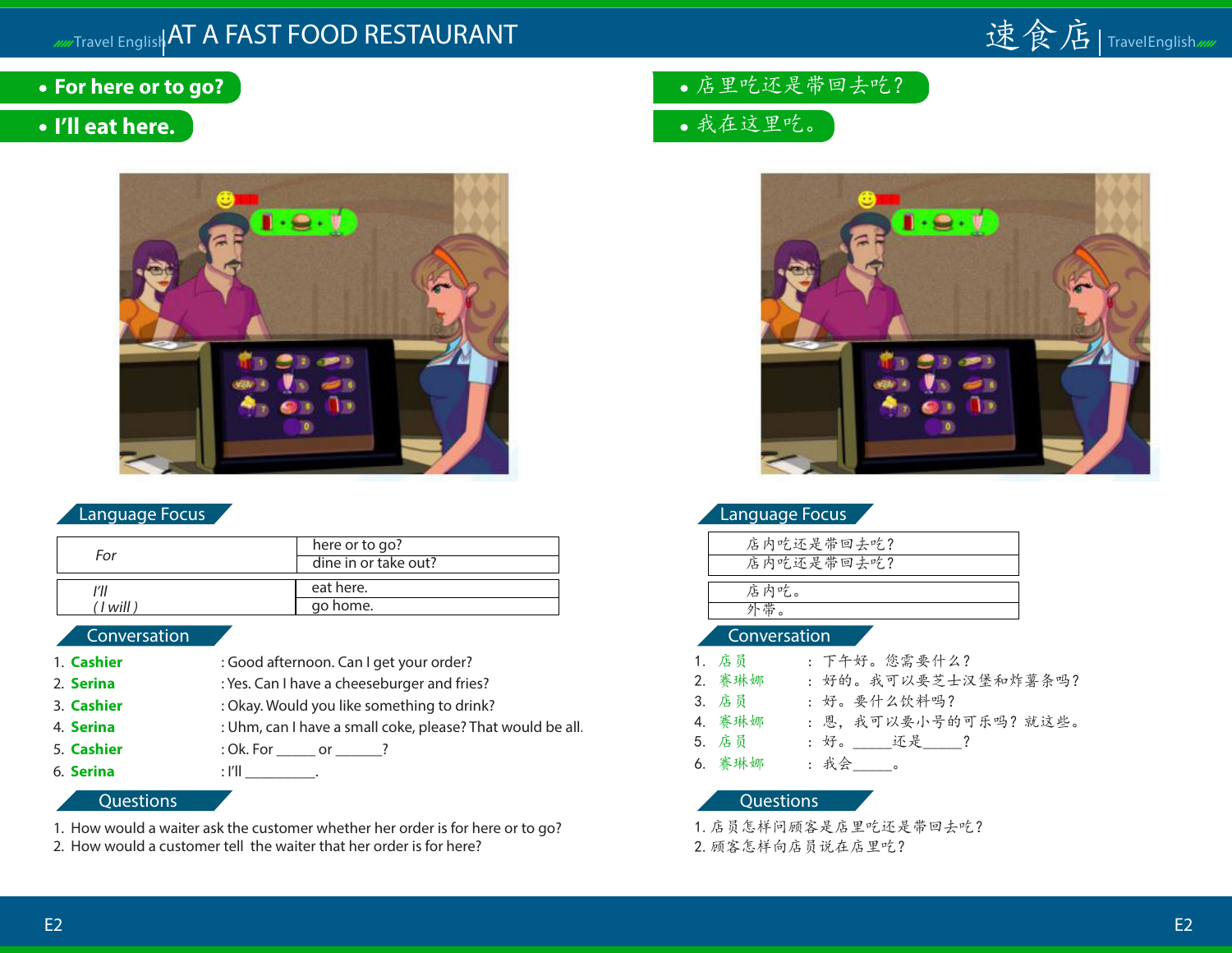## Travel English AT A FAST FOOD RESTAURANT



- **For here or to go?**
- **I'll eat here.**



#### Language Focus

| For        | here or to go?<br>dine in or take out? |
|------------|----------------------------------------|
|            | eat here.                              |
| ' I will I | go home.                               |

#### Conversation

- 1. **Cashier** : Good afternoon. Can I get your order? 2. **Serina** : Yes. Can I have a cheeseburger and fries? 3. **Cashier** : Okay. Would you like something to drink? 4. **Serina** : Uhm, can I have a small coke, please? That would be all. 5. **Cashier** : Ok. For \_\_\_\_\_ or \_\_\_\_\_? 6. **Serina** : I'll \_\_\_\_\_\_\_\_\_.
	- **Questions**
- 1. How would a waiter ask the customer whether her order is for here or to go?
- 2. How would a customer tell the waiter that her order is for here?
- 店里吃还是带回去吃?
- 我在这里吃。



| Language Focus |  |
|----------------|--|
|                |  |

| 店内吃还是带回去吃? |  |
|------------|--|
| 店内吃还是带回去吃? |  |
| 店内吃。       |  |
| 外帯         |  |
|            |  |

#### Conversation

| 1. 店员  | : 下午好。您需要什么?          |
|--------|-----------------------|
| 2. 赛琳娜 | : 好的。我可以要芝士汉堡和炸薯条吗?   |
| 3. 店员  | : 好。要什么饮料吗?           |
| 4. 赛琳娜 | : 恩, 我可以要小号的可乐吗? 就这些。 |
| 5. 店员  | : 好。    还是    ?       |
| 6. 赛琳娜 | : 我会_____。            |

#### **Questions**

1.店员怎样问顾客是店里吃还是带回去吃? 2.顾客怎样向店员说在店里吃?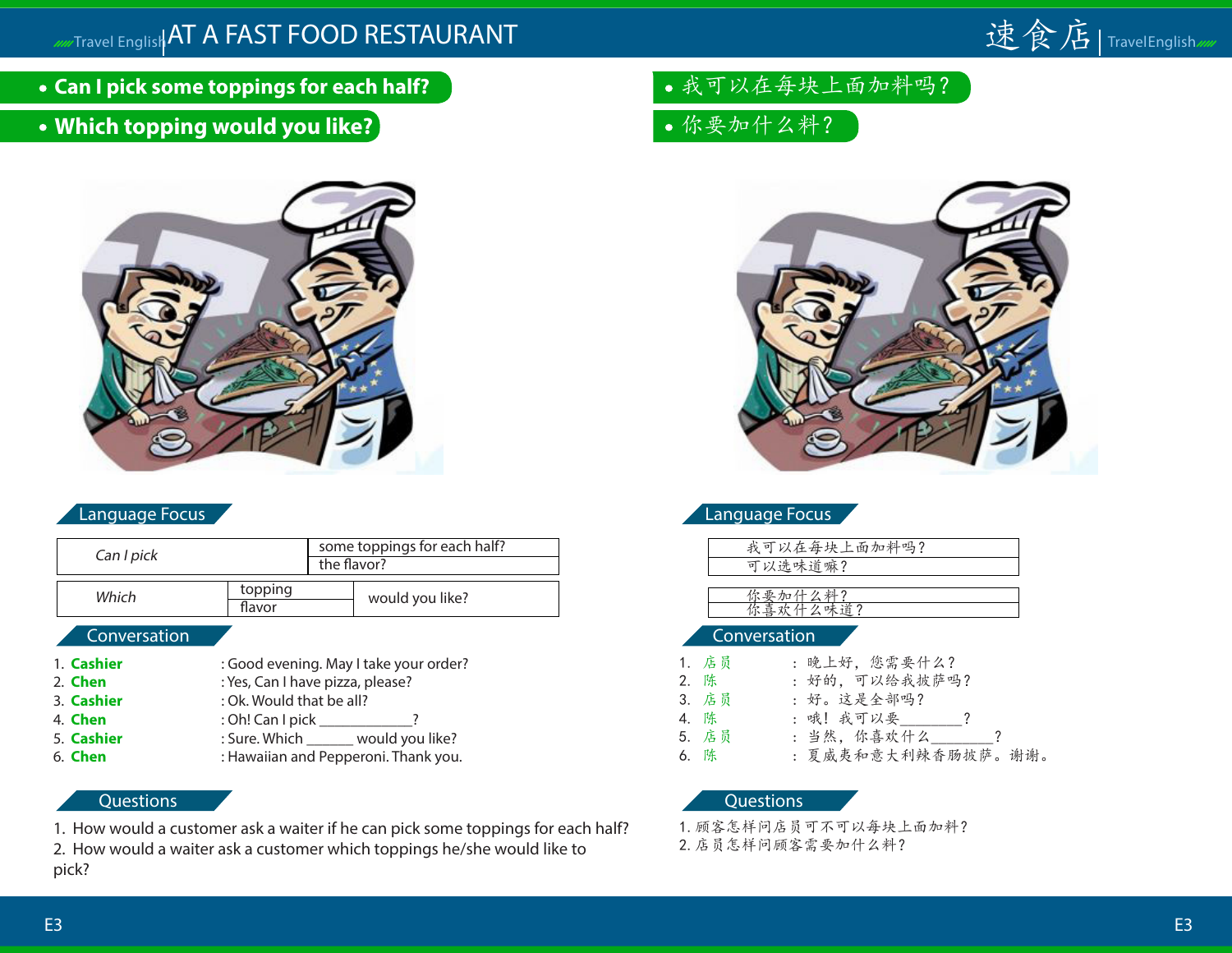

- **Can I pick some toppings for each half?**
- **Which topping would you like?**



| Can I pick   | some toppings for each half?           |  |
|--------------|----------------------------------------|--|
|              | the flavor?                            |  |
| Which        | topping<br>would you like?<br>flavor   |  |
| Conversation |                                        |  |
| 1. Cashier   | : Good evening. May I take your order? |  |
| 2. Chen      | : Yes, Can I have pizza, please?       |  |
| 3. Cashier   | : Ok. Would that be all?               |  |
| 4. Chen      | : Oh! Can I pick _______               |  |
| 5. Cashier   | : Sure. Which ______ would you like?   |  |
|              | $\cdots$ $\cdots$                      |  |

6. **Chen** : Hawaiian and Pepperoni. Thank you.

#### **Questions**

1. How would a customer ask a waiter if he can pick some toppings for each half?

2. How would a waiter ask a customer which toppings he/she would like to pick?

- 我可以在每块上面加料吗?
- 你要加什么料?



|  | Language Focus |  |
|--|----------------|--|
|  |                |  |

| 我可以在每块上面加料吗? |  |
|--------------|--|
| 可以选味道嘛?      |  |
|              |  |

你要加什么料? 你喜欢什么味道?

#### Conversation

| 1. 店员 | : 晚上好,您需要什么?       |
|-------|--------------------|
| 2. 陈  | : 好的, 可以给我披萨吗?     |
| 3. 店员 | : 好。这是全部吗?         |
| 4. 陈  | : 哦! 我可以要 ?        |
| 5. 店员 | : 当然, 你喜欢什么 ?      |
| 6. 陈  | : 夏威夷和意大利辣香肠披萨。谢谢。 |

#### **Questions**

1.顾客怎样问店员可不可以每块上面加料?

2.店员怎样问顾客需要加什么料?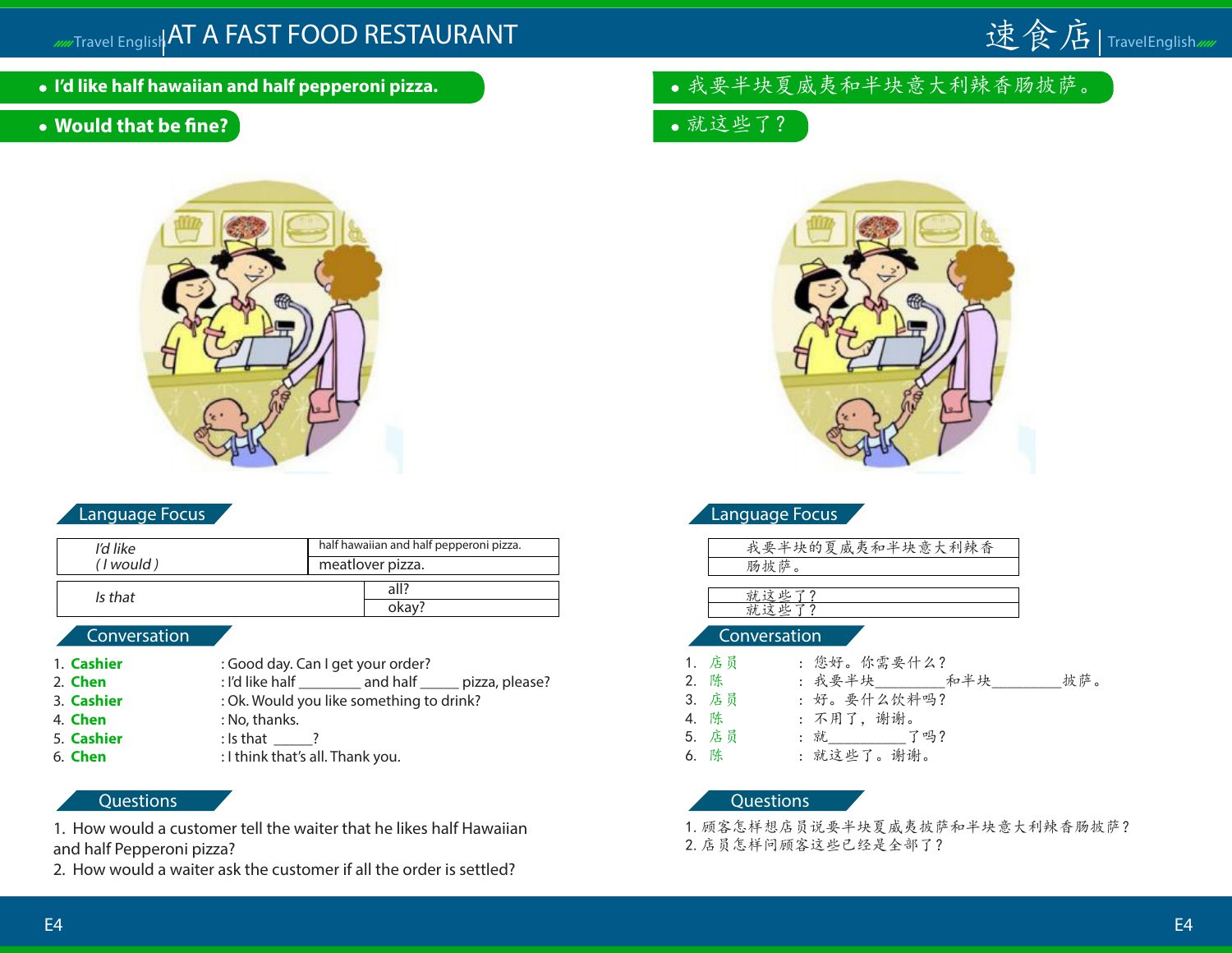# Travel English AT A FAST FOOD RESTAURANT **the computation of the computation of the computation** of the computation



- **I'd like half hawaiian and half pepperoni pizza.**
- **Would that be fine?**



#### Language Focus

| I'd like  | half hawaiian and half pepperoni pizza. |  |  |  |
|-----------|-----------------------------------------|--|--|--|
| (I would) | meatlover pizza.                        |  |  |  |
| Is that   | all?                                    |  |  |  |
|           | okay?                                   |  |  |  |

#### Conversation

- 1. **Cashier** : Good day. Can I get your order? 2. **Chen** : I'd like half and half pizza, please?
- 3. **Cashier** : Ok. Would you like something to drink?
- 4. **Chen** : No, thanks.
- 5. **Cashier** : Is that ?
- 6. **Chen** : I think that's all. Thank you.
- 

#### **Questions**

1. How would a customer tell the waiter that he likes half Hawaiian and half Pepperoni pizza?

2. How would a waiter ask the customer if all the order is settled?

### 我要半块夏威夷和半块意大利辣香肠披萨。

就这些了?



| Language Focus |
|----------------|
|----------------|

| 我要半块的夏威夷和半块意大利辣香                      |  |
|---------------------------------------|--|
| 肠披萨                                   |  |
| and the control of the con-<br>$\sim$ |  |

就这些了? 就这些了?

#### Conversation

| 1. 店员 | : 您好。你需要什么?               |
|-------|---------------------------|
| 2. 陈  | : 我要半块 _______ 和半块<br>披萨。 |
| 3. 店员 | : 好。要什么饮料吗?               |
| 4. 陈  | : 不用了, 谢谢。                |
| 5. 店员 | : 就_______  了吗?           |

6. 陈 : 就这些了。谢谢。

**Questions** 

1.顾客怎样想店员说要半块夏威夷披萨和半块意大利辣香肠披萨? 2.店员怎样问顾客这些已经是全部了?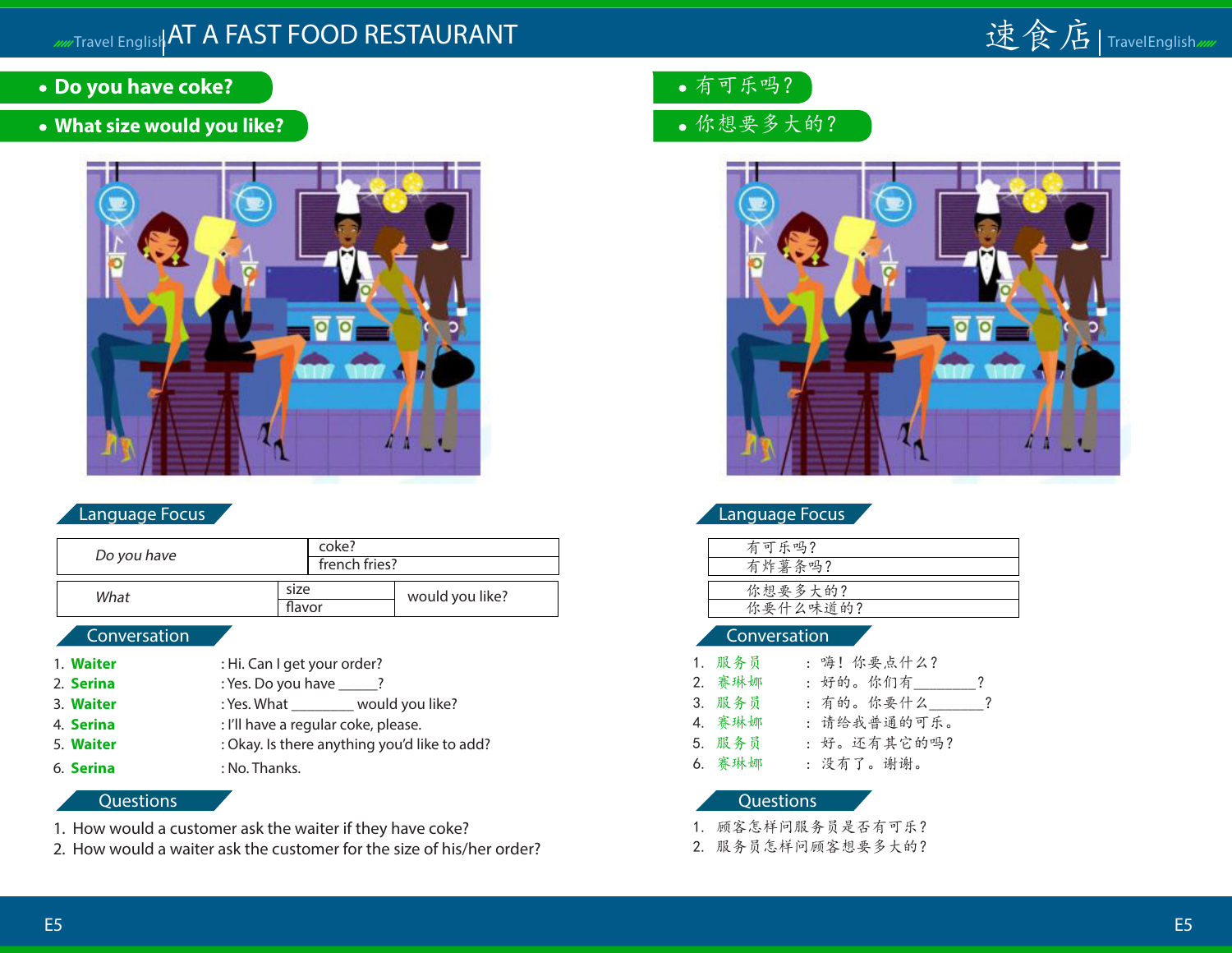# Travel English AT A FAST FOOD RESTAURANT **the computation of the computation of the computation** of the computation



- **Do you have coke?**
- **What size would you like?**



#### Language Focus

| Do you have            | coke?<br>french fries? |  |                 |
|------------------------|------------------------|--|-----------------|
| size<br>What<br>flavor |                        |  | would you like? |
| Conversation           |                        |  |                 |

- 1. **Waiter** : Hi. Can I get your order?
- 2. **Serina** : Yes. Do you have <u>?</u>
- 3. **Waiter** : Yes. What would you like?
- 4. **Serina** : I'll have a regular coke, please.
- 
- 
- 5. **Waiter** : Okay. Is there anything you'd like to add? 6. **Serina** : No. Thanks.

#### **Questions**

- 1. How would a customer ask the waiter if they have coke?
- 2. How would a waiter ask the customer for the size of his/her order?
- 有可乐吗?
- 你想要多大的?



#### Language Focus

| 有可乐吗?    |
|----------|
| 有炸薯条吗?   |
|          |
| 你想要多大的?  |
| 你要什么味道的? |
|          |

#### Conversation

| 1. 服务员 | : 嗨! 你要点什么? |           |
|--------|-------------|-----------|
| 2. 赛琳娜 | : 好的。你们有    | ?         |
| 3. 服务员 | : 有的。你要什么—— | $\cdot$ ? |
| 4. 赛琳娜 | : 请给我普通的可乐。 |           |
| 5. 服务员 | : 好。还有其它的吗? |           |
| 6. 赛琳娜 | : 没有了。谢谢。   |           |

- 1. 顾客怎样问服务员是否有可乐?
- 2. 服务员怎样问顾客想要多大的?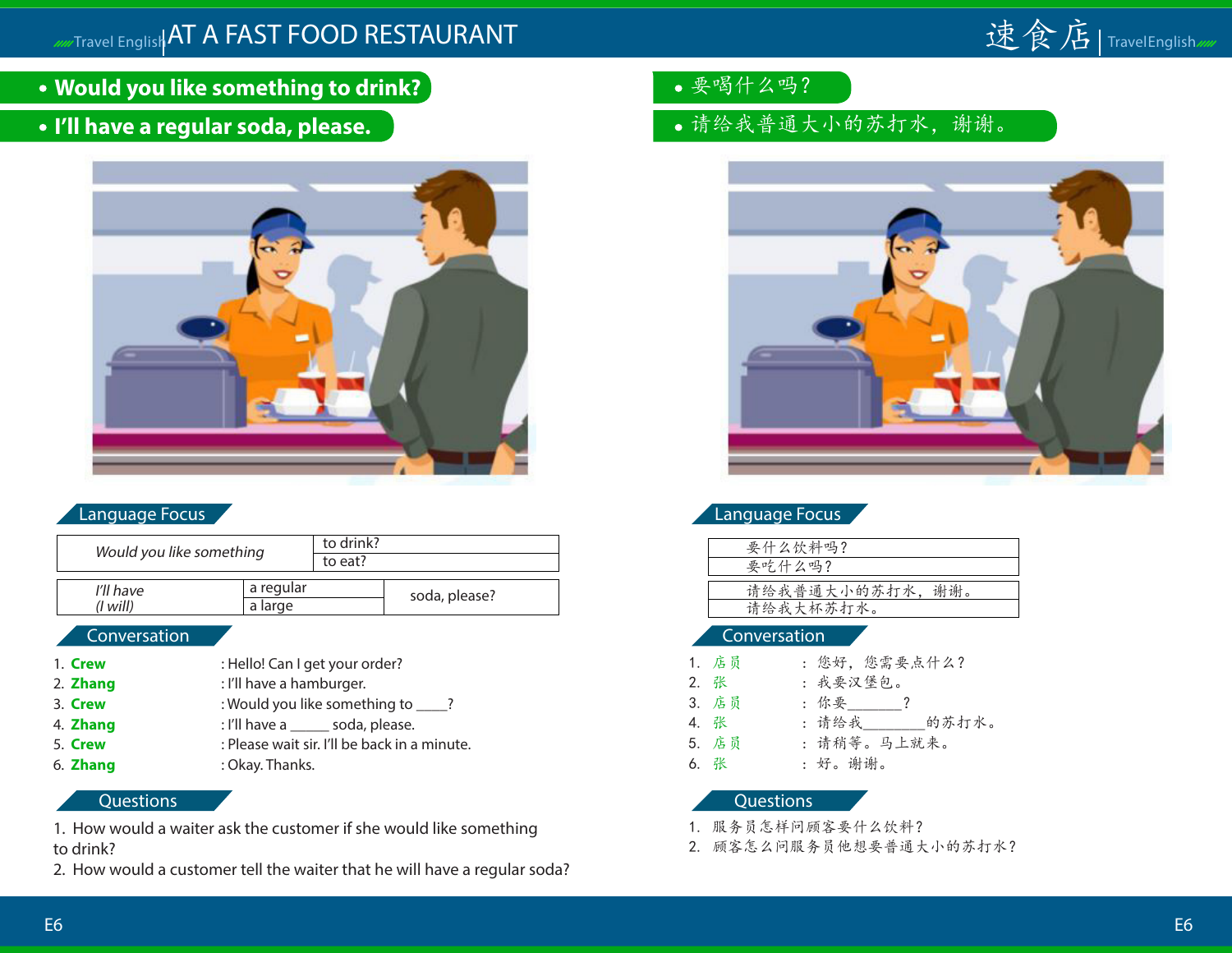

- **Would you like something to drink?**
- **I'll have a regular soda, please.**



| Would you like something |           |           | to drink? |               |
|--------------------------|-----------|-----------|-----------|---------------|
|                          |           |           |           |               |
|                          |           |           |           |               |
|                          | I'll have | a regular |           | soda, please? |
|                          | (I will)  | a large   |           |               |
|                          |           |           |           |               |

#### Conversation

- 1. **Crew** : Hello! Can I get your order?
- 2. **Zhang** : I'll have a hamburger.
- 3. **Crew** : Would you like something to \_\_\_\_?
- 4. **Zhang** : I'll have a soda, please.
- 5. **Crew** : Please wait sir. I'll be back in a minute.
- 6. **Zhang** : Okay. Thanks.

#### **Questions**

1. How would a waiter ask the customer if she would like something to drink?

2. How would a customer tell the waiter that he will have a regular soda?

- 要喝什么吗?
- 请给我普通大小的苏打水,谢谢。



#### Language Focus

| 要什么饮料吗?         |
|-----------------|
| 要吃什么吗?          |
|                 |
| 请给我普通大小的苏打水,谢谢。 |
| 请给我大杯苏打水。       |
|                 |

#### Conversation

| 1. 店员 | : 您好, 您需要点什么? |
|-------|---------------|
| 2. 张  | : 我要汉堡包。      |
| 3. 店员 | : 你要 _____?   |
| 4. 张  | : 请给我 的苏打水。   |
| 5. 店员 | : 请稍等。马上就来。   |
| 6. 张  | :好。谢谢。        |

- 1. 服务员怎样问顾客要什么饮料?
- 2. 顾客怎么问服务员他想要普通大小的苏打水?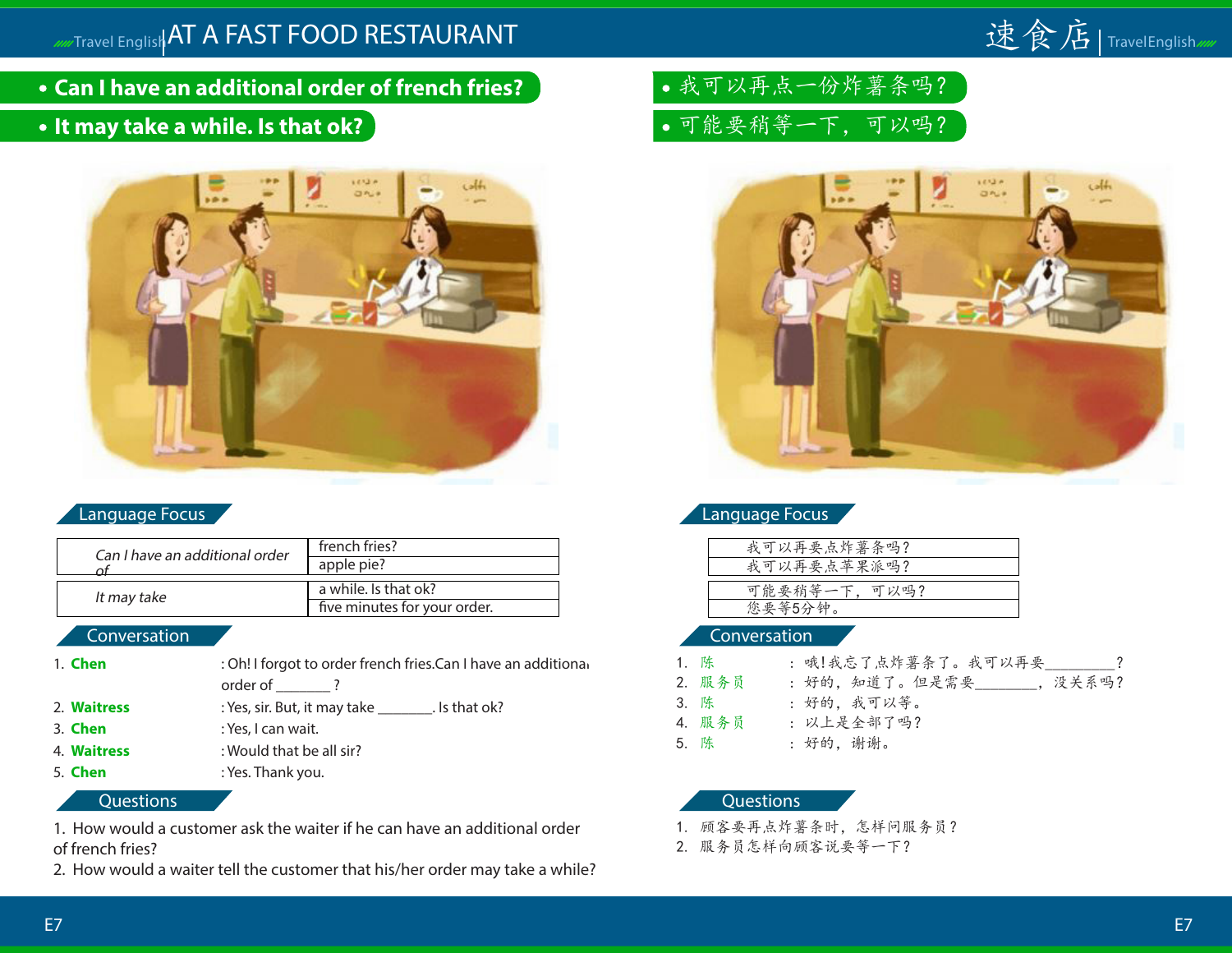## Travel English AT A FAST FOOD RESTAURANT



- **Can I have an additional order of french fries?**
- **It may take a while. Is that ok?**



#### Language Focus

| Can I have an additional order | french fries?<br>apple pie?                          |
|--------------------------------|------------------------------------------------------|
| It may take                    | a while. Is that ok?<br>five minutes for your order. |

#### Conversation

- 1. **Chen** : Oh! I forgot to order french fries.Can I have an additional order of  $\qquad$ ?
- 2. **Waitress** : Yes, sir. But, it may take \_\_\_\_\_\_\_\_. Is that ok?
- 3. **Chen** : Yes, I can wait.
- 4. **Waitress** : Would that be all sir?
- 5. **Chen** : Yes. Thank you.

Questions

1. How would a customer ask the waiter if he can have an additional order of french fries?

2. How would a waiter tell the customer that his/her order may take a while?

我可以再点一份炸薯条吗? 可能要稍等一下,可以吗?



| Language Focus |                     |  |  |  |  |
|----------------|---------------------|--|--|--|--|
|                | 安 可 以 面 西 上 丛 茧 久 n |  |  |  |  |

| 我可以再要点炸薯条吗?  |
|--------------|
| 我可以再要点苹果派吗?  |
|              |
| 可能要稍等一下,可以吗? |
| 您要等5分钟。      |
|              |

#### Conversation

- 1. 陈 : 哦!我忘了点炸薯条了。我可以再要 ? 2. 服务员:好的,知道了。但是需要\_\_\_\_\_\_\_,没关系吗? 3. 陈 : 好的,我可以等。 4. 服务员 : 以上是全部了吗?
- 5. 陈 : 好的,谢谢。

- 1. 顾客要再点炸薯条时,怎样问服务员?
- 2. 服务员怎样向顾客说要等一下?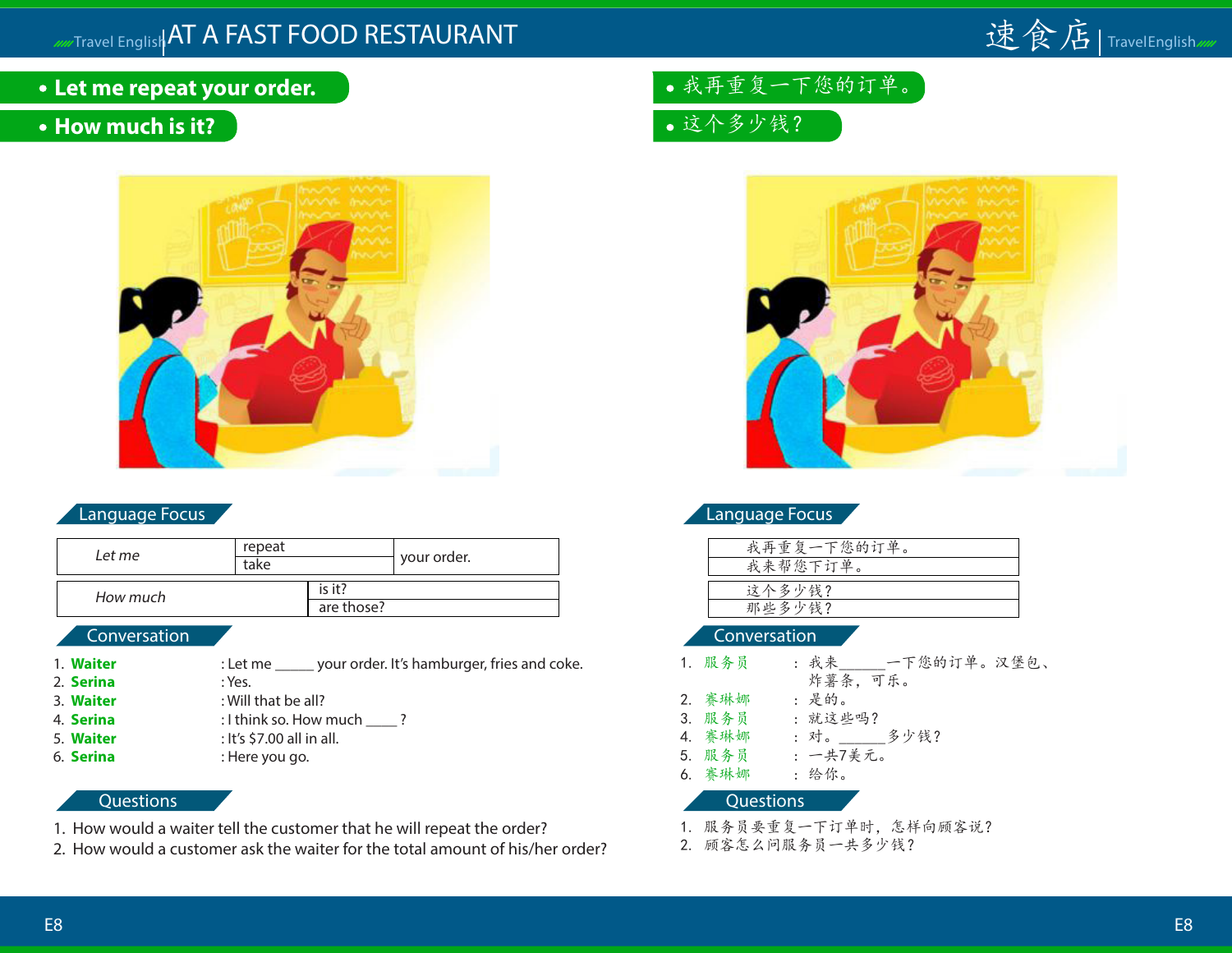

## **Let me repeat your order.**

## **• How much is it?**



#### Language Focus

| Let me   | repeat<br>take |            | your order. |
|----------|----------------|------------|-------------|
| How much |                | is it?     |             |
|          |                | are those? |             |

#### Conversation

- 1. **Waiter** : Let me \_\_\_\_\_ your order. It's hamburger, fries and coke.
- 2. **Serina** : Yes.
- 3. **Waiter** : Will that be all?
- 
- 
- 

#### 4. **Serina** : I think so. How much ? 5. **Waiter** : It's \$7.00 all in all.

6. **Serina** : Here you go.

#### **Questions**

- 1. How would a waiter tell the customer that he will repeat the order?
- 2. How would a customer ask the waiter for the total amount of his/her order?

# 我再重复一下您的订单。

这个多少钱?



#### Language Focus

| 我再重复一下您的订单。 |  |
|-------------|--|
| 我来帮您下订单。    |  |
|             |  |
| 这个多少钱?      |  |
| 那些多少钱?      |  |

#### Conversation

| 1. 服务员 | : 我来 一下您的订单。汉堡包、 |
|--------|------------------|
|        | 炸薯条,可乐。          |
| 2. 赛琳娜 | : 是的。            |
| 3. 服务员 | : 就这些吗?          |
| 4. 赛琳娜 | 多少钱?<br>: 对。     |
| 5. 服务员 | : 一共7美元。         |
| 6. 赛琳娜 | : 给你。            |

- 1. 服务员要重复一下订单时,怎样向顾客说?
- 2. 顾客怎么问服务员一共多少钱?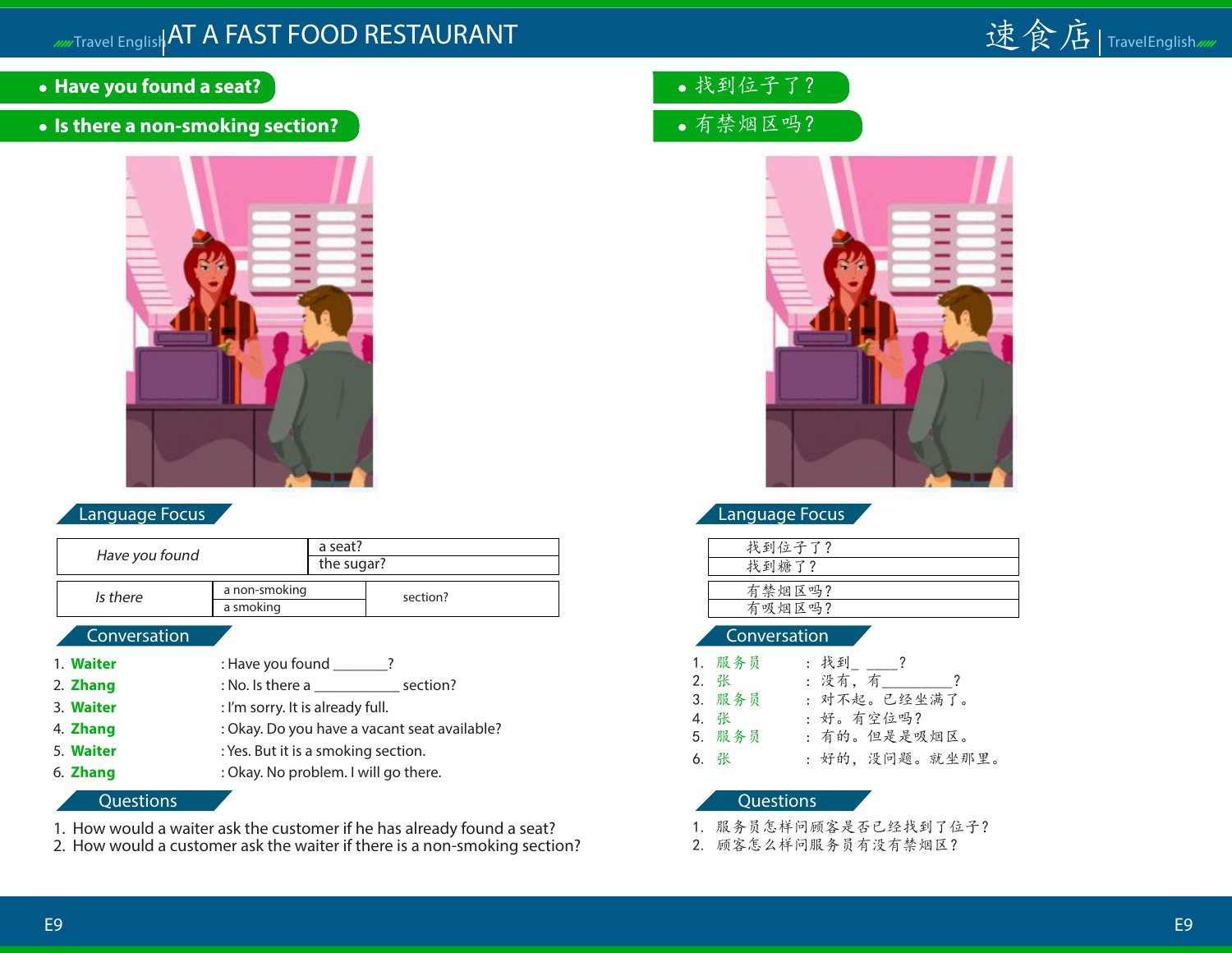

- **Have you found a seat?**
- **Is there a non-smoking section?**



|                | a seat?          |          |
|----------------|------------------|----------|
| Have you found | the sugar?       |          |
|                |                  |          |
| Is there       | a non-smoking    | section? |
|                | a smoking        |          |
| Conversation   |                  |          |
|                |                  |          |
|                |                  |          |
| <b>Waiter</b>  | : Have you found |          |

- 2. **Zhang** : No. Is there a \_\_\_\_\_\_\_\_\_\_\_\_\_\_ section?
- 3. **Waiter** : I'm sorry. It is already full.
- 4. **Zhang** : Okay. Do you have a vacant seat available?
- 5. **Waiter** : Yes. But it is a smoking section.
- 6. **Zhang** : Okay. No problem. I will go there.

#### **Questions**

- 1. How would a waiter ask the customer if he has already found a seat?
- 2. How would a customer ask the waiter if there is a non-smoking section?
- 找到位子了?
- 有禁烟区吗?



#### Language Focus

| 找到位子了? |  |
|--------|--|
| 找到糖了?  |  |
|        |  |
| 有禁烟区吗? |  |
| 有吸烟区吗? |  |
|        |  |

#### Conversation

| 1. 服务员 | :找到.___?        |
|--------|-----------------|
| 2. 张   | : 没有, 有       ? |
| 3. 服务员 | : 对不起。已经坐满了。    |
| 4. 张   | :好。有空位吗?        |
| 5. 服务员 | : 有的。但是是吸烟区。    |
| 6. 张   | : 好的, 没问题。就坐那里。 |

- 1. 服务员怎样问顾客是否已经找到了位子?
- 2. 顾客怎么样问服务员有没有禁烟区?